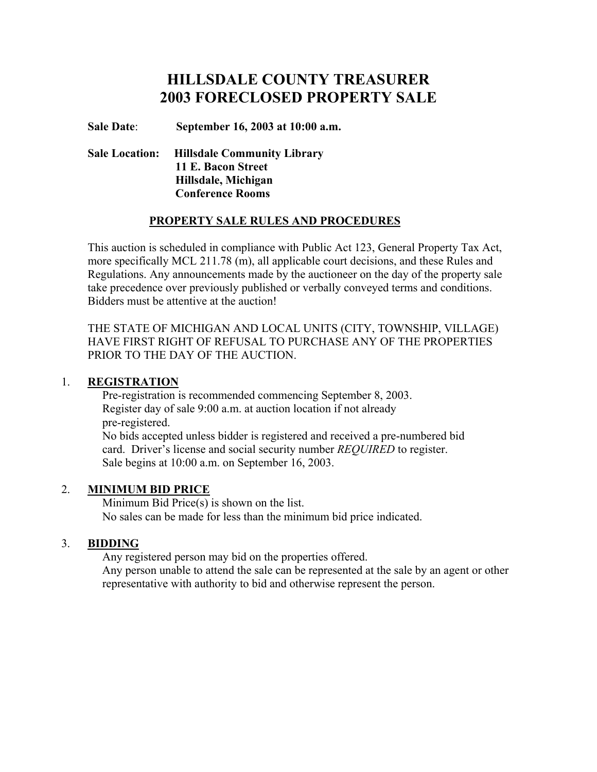# **HILLSDALE COUNTY TREASURER 2003 FORECLOSED PROPERTY SALE**

**Sale Date**: **September 16, 2003 at 10:00 a.m.**

 **Sale Location: Hillsdale Community Library 11 E. Bacon Street Hillsdale, Michigan Conference Rooms**

# **PROPERTY SALE RULES AND PROCEDURES**

 This auction is scheduled in compliance with Public Act 123, General Property Tax Act, more specifically MCL 211.78 (m), all applicable court decisions, and these Rules and Regulations. Any announcements made by the auctioneer on the day of the property sale take precedence over previously published or verbally conveyed terms and conditions. Bidders must be attentive at the auction!

 THE STATE OF MICHIGAN AND LOCAL UNITS (CITY, TOWNSHIP, VILLAGE) HAVE FIRST RIGHT OF REFUSAL TO PURCHASE ANY OF THE PROPERTIES PRIOR TO THE DAY OF THE AUCTION.

### 1. **REGISTRATION**

 Pre-registration is recommended commencing September 8, 2003. Register day of sale 9:00 a.m. at auction location if not already pre-registered. No bids accepted unless bidder is registered and received a pre-numbered bid card. Driver's license and social security number *REQUIRED* to register. Sale begins at 10:00 a.m. on September 16, 2003.

### 2. **MINIMUM BID PRICE**

 Minimum Bid Price(s) is shown on the list. No sales can be made for less than the minimum bid price indicated.

### 3. **BIDDING**

Any registered person may bid on the properties offered.

 Any person unable to attend the sale can be represented at the sale by an agent or other representative with authority to bid and otherwise represent the person.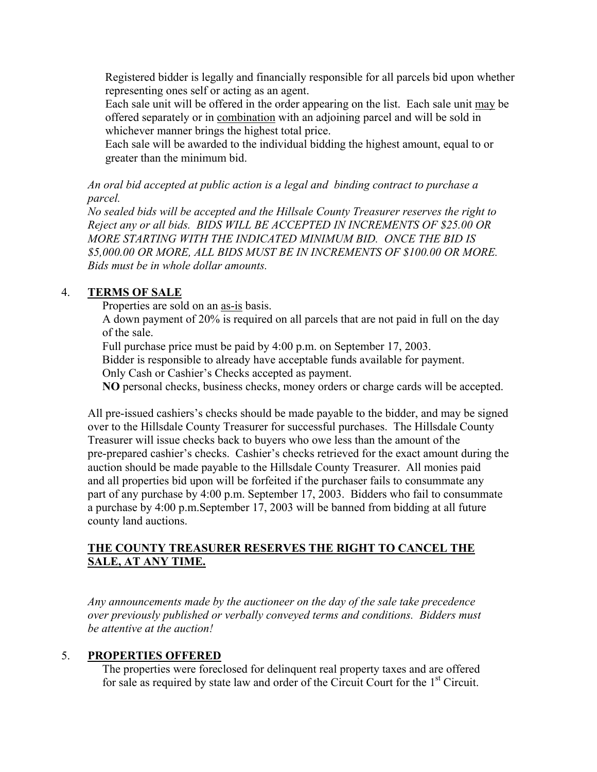Registered bidder is legally and financially responsible for all parcels bid upon whether representing ones self or acting as an agent.

 Each sale unit will be offered in the order appearing on the list. Each sale unit may be offered separately or in combination with an adjoining parcel and will be sold in whichever manner brings the highest total price.

 Each sale will be awarded to the individual bidding the highest amount, equal to or greater than the minimum bid.

*An oral bid accepted at public action is a legal and binding contract to purchase a parcel.*

*No sealed bids will be accepted and the Hillsale County Treasurer reserves the right to Reject any or all bids. BIDS WILL BE ACCEPTED IN INCREMENTS OF \$25.00 OR MORE STARTING WITH THE INDICATED MINIMUM BID. ONCE THE BID IS \$5,000.00 OR MORE, ALL BIDS MUST BE IN INCREMENTS OF \$100.00 OR MORE. Bids must be in whole dollar amounts.*

# 4. **TERMS OF SALE**

Properties are sold on an as-is basis.

 A down payment of 20% is required on all parcels that are not paid in full on the day of the sale.

Full purchase price must be paid by 4:00 p.m. on September 17, 2003.

Bidder is responsible to already have acceptable funds available for payment.

Only Cash or Cashier's Checks accepted as payment.

**NO** personal checks, business checks, money orders or charge cards will be accepted.

All pre-issued cashiers's checks should be made payable to the bidder, and may be signed over to the Hillsdale County Treasurer for successful purchases. The Hillsdale County Treasurer will issue checks back to buyers who owe less than the amount of the pre-prepared cashier's checks. Cashier's checks retrieved for the exact amount during the auction should be made payable to the Hillsdale County Treasurer. All monies paid and all properties bid upon will be forfeited if the purchaser fails to consummate any part of any purchase by 4:00 p.m. September 17, 2003. Bidders who fail to consummate a purchase by 4:00 p.m.September 17, 2003 will be banned from bidding at all future county land auctions.

# **THE COUNTY TREASURER RESERVES THE RIGHT TO CANCEL THE SALE, AT ANY TIME.**

*Any announcements made by the auctioneer on the day of the sale take precedence over previously published or verbally conveyed terms and conditions. Bidders must be attentive at the auction!*

### 5. **PROPERTIES OFFERED**

 The properties were foreclosed for delinquent real property taxes and are offered for sale as required by state law and order of the Circuit Court for the 1<sup>st</sup> Circuit.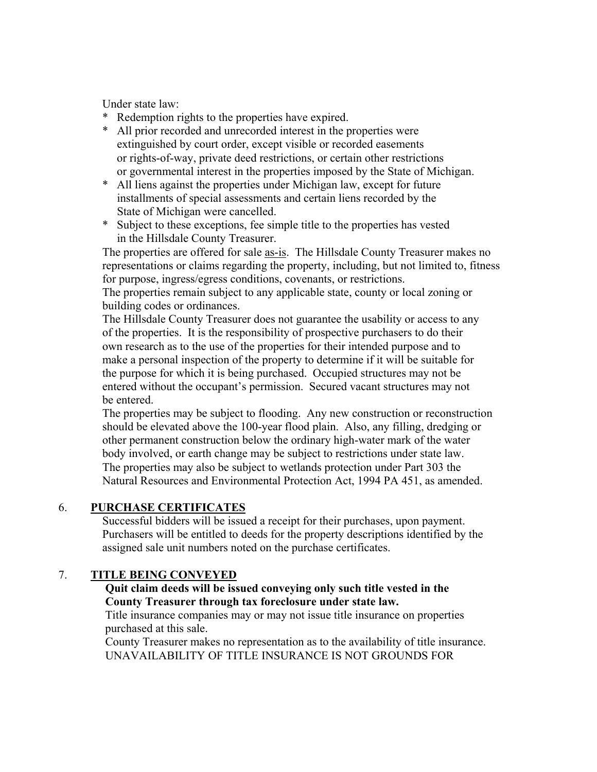Under state law:

- \* Redemption rights to the properties have expired.
- \* All prior recorded and unrecorded interest in the properties were extinguished by court order, except visible or recorded easements or rights-of-way, private deed restrictions, or certain other restrictions or governmental interest in the properties imposed by the State of Michigan.
- \* All liens against the properties under Michigan law, except for future installments of special assessments and certain liens recorded by the State of Michigan were cancelled.
- \* Subject to these exceptions, fee simple title to the properties has vested in the Hillsdale County Treasurer.

The properties are offered for sale as-is. The Hillsdale County Treasurer makes no representations or claims regarding the property, including, but not limited to, fitness for purpose, ingress/egress conditions, covenants, or restrictions.

The properties remain subject to any applicable state, county or local zoning or building codes or ordinances.

The Hillsdale County Treasurer does not guarantee the usability or access to any of the properties. It is the responsibility of prospective purchasers to do their own research as to the use of the properties for their intended purpose and to make a personal inspection of the property to determine if it will be suitable for the purpose for which it is being purchased. Occupied structures may not be entered without the occupant's permission. Secured vacant structures may not be entered.

The properties may be subject to flooding. Any new construction or reconstruction should be elevated above the 100-year flood plain. Also, any filling, dredging or other permanent construction below the ordinary high-water mark of the water body involved, or earth change may be subject to restrictions under state law. The properties may also be subject to wetlands protection under Part 303 the Natural Resources and Environmental Protection Act, 1994 PA 451, as amended.

### 6. **PURCHASE CERTIFICATES**

 Successful bidders will be issued a receipt for their purchases, upon payment. Purchasers will be entitled to deeds for the property descriptions identified by the assigned sale unit numbers noted on the purchase certificates.

# 7. **TITLE BEING CONVEYED**

### **Quit claim deeds will be issued conveying only such title vested in the County Treasurer through tax foreclosure under state law.**

Title insurance companies may or may not issue title insurance on properties purchased at this sale.

 County Treasurer makes no representation as to the availability of title insurance. UNAVAILABILITY OF TITLE INSURANCE IS NOT GROUNDS FOR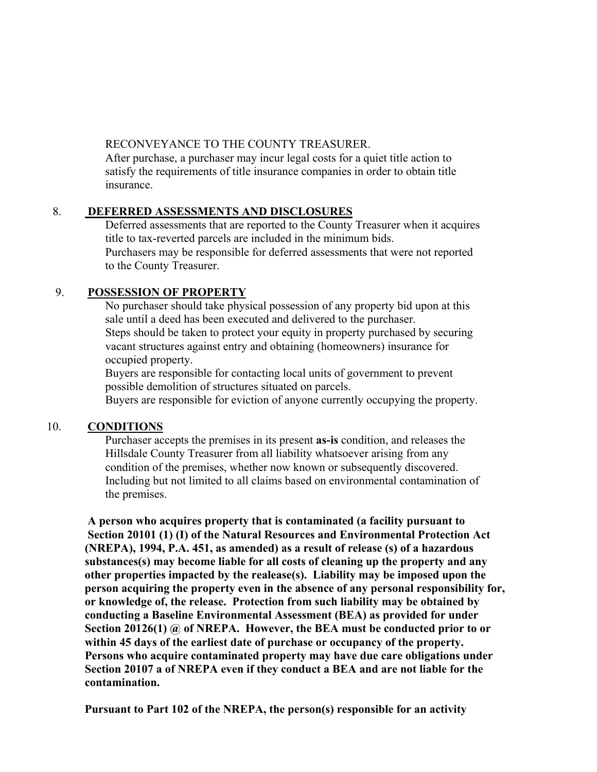### RECONVEYANCE TO THE COUNTY TREASURER.

 After purchase, a purchaser may incur legal costs for a quiet title action to satisfy the requirements of title insurance companies in order to obtain title insurance.

# 8. **DEFERRED ASSESSMENTS AND DISCLOSURES**

 Deferred assessments that are reported to the County Treasurer when it acquires title to tax-reverted parcels are included in the minimum bids. Purchasers may be responsible for deferred assessments that were not reported to the County Treasurer.

# 9. **POSSESSION OF PROPERTY**

 No purchaser should take physical possession of any property bid upon at this sale until a deed has been executed and delivered to the purchaser. Steps should be taken to protect your equity in property purchased by securing vacant structures against entry and obtaining (homeowners) insurance for occupied property.

 Buyers are responsible for contacting local units of government to prevent possible demolition of structures situated on parcels.

Buyers are responsible for eviction of anyone currently occupying the property.

### 10. **CONDITIONS**

 Purchaser accepts the premises in its present **as-is** condition, and releases the Hillsdale County Treasurer from all liability whatsoever arising from any condition of the premises, whether now known or subsequently discovered. Including but not limited to all claims based on environmental contamination of the premises.

 **A person who acquires property that is contaminated (a facility pursuant to Section 20101 (1) (I) of the Natural Resources and Environmental Protection Act (NREPA), 1994, P.A. 451, as amended) as a result of release (s) of a hazardous substances(s) may become liable for all costs of cleaning up the property and any other properties impacted by the realease(s). Liability may be imposed upon the person acquiring the property even in the absence of any personal responsibility for, or knowledge of, the release. Protection from such liability may be obtained by conducting a Baseline Environmental Assessment (BEA) as provided for under Section 20126(1) @ of NREPA. However, the BEA must be conducted prior to or within 45 days of the earliest date of purchase or occupancy of the property. Persons who acquire contaminated property may have due care obligations under Section 20107 a of NREPA even if they conduct a BEA and are not liable for the contamination.**

 **Pursuant to Part 102 of the NREPA, the person(s) responsible for an activity**